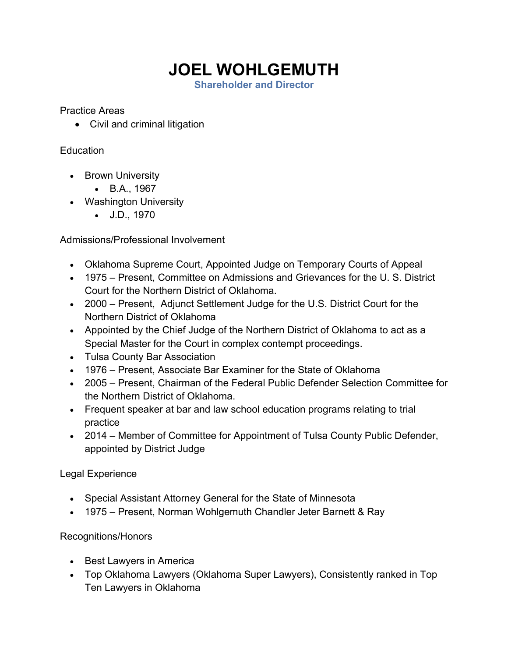## **JOEL WOHLGEMUTH**

**Shareholder and Director**

Practice Areas

• Civil and criminal litigation

## Education

- Brown University
	- B.A., 1967
- Washington University
	- J.D., 1970

Admissions/Professional Involvement

- Oklahoma Supreme Court, Appointed Judge on Temporary Courts of Appeal
- 1975 Present, Committee on Admissions and Grievances for the U. S. District Court for the Northern District of Oklahoma.
- 2000 Present, Adjunct Settlement Judge for the U.S. District Court for the Northern District of Oklahoma
- Appointed by the Chief Judge of the Northern District of Oklahoma to act as a Special Master for the Court in complex contempt proceedings.
- Tulsa County Bar Association
- 1976 Present, Associate Bar Examiner for the State of Oklahoma
- 2005 Present, Chairman of the Federal Public Defender Selection Committee for the Northern District of Oklahoma.
- Frequent speaker at bar and law school education programs relating to trial practice
- 2014 Member of Committee for Appointment of Tulsa County Public Defender, appointed by District Judge

## Legal Experience

- Special Assistant Attorney General for the State of Minnesota
- 1975 Present, Norman Wohlgemuth Chandler Jeter Barnett & Ray

## Recognitions/Honors

- Best Lawyers in America
- Top Oklahoma Lawyers (Oklahoma Super Lawyers), Consistently ranked in Top Ten Lawyers in Oklahoma